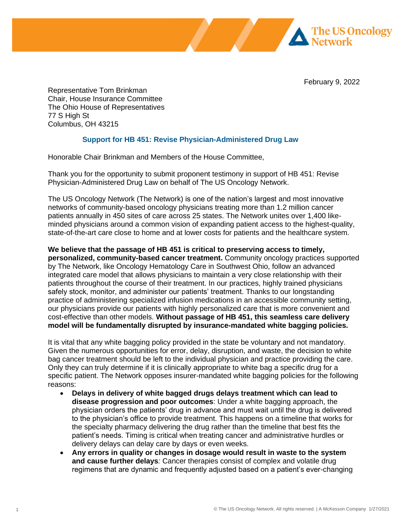February 9, 2022

**Network** 

**The US Oncology** 

Representative Tom Brinkman Chair, House Insurance Committee The Ohio House of Representatives 77 S High St Columbus, OH 43215

## **Support for HB 451: Revise Physician-Administered Drug Law**

Honorable Chair Brinkman and Members of the House Committee,

Thank you for the opportunity to submit proponent testimony in support of HB 451: Revise Physician-Administered Drug Law on behalf of The US Oncology Network.

The US Oncology Network (The Network) is one of the nation's largest and most innovative networks of community-based oncology physicians treating more than 1.2 million cancer patients annually in 450 sites of care across 25 states. The Network unites over 1,400 likeminded physicians around a common vision of expanding patient access to the highest-quality, state-of-the-art care close to home and at lower costs for patients and the healthcare system.

**We believe that the passage of HB 451 is critical to preserving access to timely, personalized, community-based cancer treatment.** Community oncology practices supported by The Network, like Oncology Hematology Care in Southwest Ohio, follow an advanced integrated care model that allows physicians to maintain a very close relationship with their patients throughout the course of their treatment. In our practices, highly trained physicians safely stock, monitor, and administer our patients' treatment. Thanks to our longstanding practice of administering specialized infusion medications in an accessible community setting, our physicians provide our patients with highly personalized care that is more convenient and cost-effective than other models. **Without passage of HB 451, this seamless care delivery model will be fundamentally disrupted by insurance-mandated white bagging policies.**

It is vital that any white bagging policy provided in the state be voluntary and not mandatory. Given the numerous opportunities for error, delay, disruption, and waste, the decision to white bag cancer treatment should be left to the individual physician and practice providing the care. Only they can truly determine if it is clinically appropriate to white bag a specific drug for a specific patient. The Network opposes insurer-mandated white bagging policies for the following reasons:

- **Delays in delivery of white bagged drugs delays treatment which can lead to disease progression and poor outcomes**: Under a white bagging approach, the physician orders the patients' drug in advance and must wait until the drug is delivered to the physician's office to provide treatment. This happens on a timeline that works for the specialty pharmacy delivering the drug rather than the timeline that best fits the patient's needs. Timing is critical when treating cancer and administrative hurdles or delivery delays can delay care by days or even weeks.
- **Any errors in quality or changes in dosage would result in waste to the system and cause further delays***:* Cancer therapies consist of complex and volatile drug regimens that are dynamic and frequently adjusted based on a patient's ever-changing